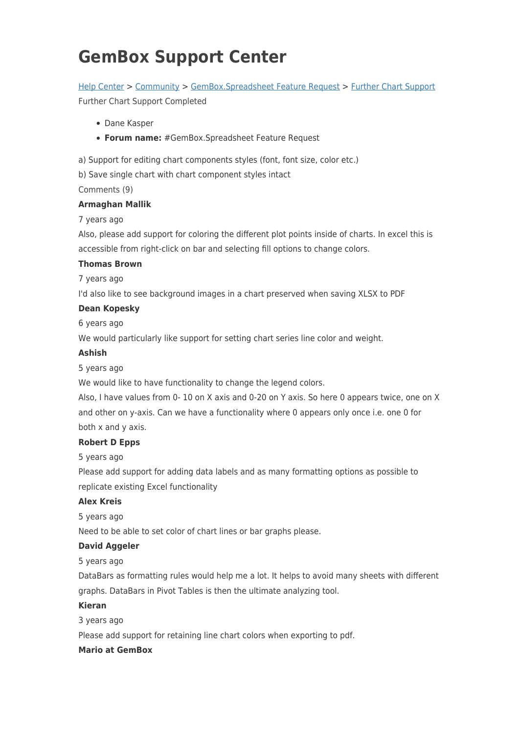# **GemBox Support Center**

# [Help Center](https://support.gemboxsoftware.com/) > [Community](https://support.gemboxsoftware.com/community) > [GemBox.Spreadsheet Feature Request](https://support.gemboxsoftware.com/community/browse/type-1/view-list/viewmode-compact) > [Further Chart Support](https://support.gemboxsoftware.com/community/view/further-chart-support)

Further Chart Support Completed

- Dane Kasper
- **Forum name:** #GemBox.Spreadsheet Feature Request

a) Support for editing chart components styles (font, font size, color etc.)

b) Save single chart with chart component styles intact

Comments (9)

## **Armaghan Mallik**

## 7 years ago

Also, please add support for coloring the different plot points inside of charts. In excel this is accessible from right-click on bar and selecting fill options to change colors.

#### **Thomas Brown**

7 years ago

I'd also like to see background images in a chart preserved when saving XLSX to PDF

## **Dean Kopesky**

6 years ago

We would particularly like support for setting chart series line color and weight.

#### **Ashish**

5 years ago

We would like to have functionality to change the legend colors.

Also, I have values from 0- 10 on X axis and 0-20 on Y axis. So here 0 appears twice, one on X and other on y-axis. Can we have a functionality where 0 appears only once i.e. one 0 for both x and y axis.

# **Robert D Epps**

5 years ago

Please add support for adding data labels and as many formatting options as possible to replicate existing Excel functionality

# **Alex Kreis**

5 years ago

Need to be able to set color of chart lines or bar graphs please.

# **David Aggeler**

5 years ago

DataBars as formatting rules would help me a lot. It helps to avoid many sheets with different graphs. DataBars in Pivot Tables is then the ultimate analyzing tool.

#### **Kieran**

3 years ago

Please add support for retaining line chart colors when exporting to pdf.

## **Mario at GemBox**